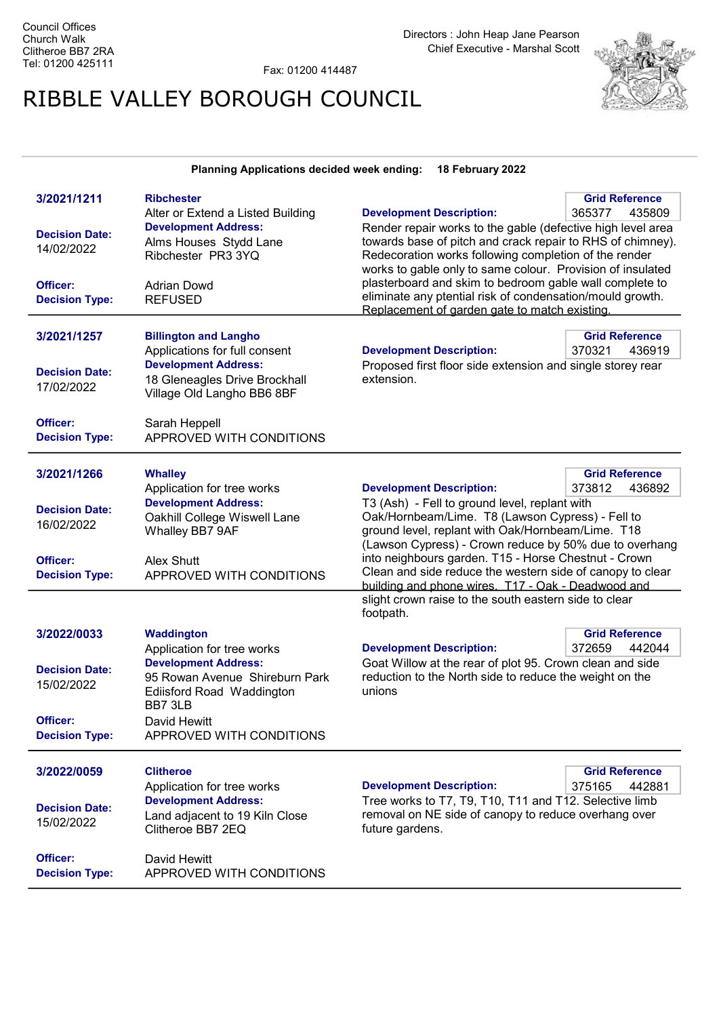Fax: 01200 414487

## RIBBLE VALLEY BOROUGH COUNCIL



## Planning Applications decided week ending: 18 February 2022

| 3/2021/1211           | <b>Ribchester</b>                 |                                                             | <b>Grid Reference</b> |
|-----------------------|-----------------------------------|-------------------------------------------------------------|-----------------------|
|                       | Alter or Extend a Listed Building | <b>Development Description:</b>                             | 365377<br>435809      |
|                       | <b>Development Address:</b>       | Render repair works to the gable (defective high level area |                       |
| <b>Decision Date:</b> | Alms Houses Stydd Lane            | towards base of pitch and crack repair to RHS of chimney).  |                       |
| 14/02/2022            | Ribchester PR3 3YQ                | Redecoration works following completion of the render       |                       |
|                       |                                   | works to gable only to same colour. Provision of insulated  |                       |
| Officer:              |                                   | plasterboard and skim to bedroom gable wall complete to     |                       |
|                       | <b>Adrian Dowd</b>                | eliminate any ptential risk of condensation/mould growth.   |                       |
| <b>Decision Type:</b> | <b>REFUSED</b>                    | Replacement of garden gate to match existing.               |                       |
|                       |                                   |                                                             |                       |
| 3/2021/1257           | <b>Billington and Langho</b>      |                                                             | <b>Grid Reference</b> |
|                       | Applications for full consent     | <b>Development Description:</b>                             | 370321<br>436919      |
|                       | <b>Development Address:</b>       | Proposed first floor side extension and single storey rear  |                       |
| <b>Decision Date:</b> |                                   | extension.                                                  |                       |
| 17/02/2022            | 18 Gleneagles Drive Brockhall     |                                                             |                       |
|                       | Village Old Langho BB6 8BF        |                                                             |                       |
|                       |                                   |                                                             |                       |
| Officer:              | Sarah Heppell                     |                                                             |                       |
| <b>Decision Type:</b> | APPROVED WITH CONDITIONS          |                                                             |                       |
|                       |                                   |                                                             |                       |
| 3/2021/1266           | <b>Whalley</b>                    |                                                             | <b>Grid Reference</b> |
|                       | Application for tree works        | <b>Development Description:</b>                             | 373812<br>436892      |
|                       | <b>Development Address:</b>       | T3 (Ash) - Fell to ground level, replant with               |                       |
| <b>Decision Date:</b> | Oakhill College Wiswell Lane      | Oak/Hornbeam/Lime. T8 (Lawson Cypress) - Fell to            |                       |
| 16/02/2022            | Whalley BB7 9AF                   | ground level, replant with Oak/Hornbeam/Lime. T18           |                       |
|                       |                                   | (Lawson Cypress) - Crown reduce by 50% due to overhang      |                       |
|                       |                                   | into neighbours garden. T15 - Horse Chestnut - Crown        |                       |
| Officer:              | Alex Shutt                        | Clean and side reduce the western side of canopy to clear   |                       |
| <b>Decision Type:</b> | APPROVED WITH CONDITIONS          | building and phone wires. T17 - Oak - Deadwood and          |                       |
|                       |                                   | slight crown raise to the south eastern side to clear       |                       |
|                       |                                   | footpath.                                                   |                       |
|                       |                                   |                                                             |                       |
| 3/2022/0033           | <b>Waddington</b>                 |                                                             | <b>Grid Reference</b> |
|                       | Application for tree works        | <b>Development Description:</b>                             | 372659<br>442044      |
| <b>Decision Date:</b> | <b>Development Address:</b>       | Goat Willow at the rear of plot 95. Crown clean and side    |                       |
| 15/02/2022            | 95 Rowan Avenue Shireburn Park    | reduction to the North side to reduce the weight on the     |                       |
|                       | <b>Ediisford Road Waddington</b>  | unions                                                      |                       |
|                       | BB7 3LB                           |                                                             |                       |
| Officer:              | David Hewitt                      |                                                             |                       |
| <b>Decision Type:</b> | APPROVED WITH CONDITIONS          |                                                             |                       |
|                       |                                   |                                                             |                       |
| 3/2022/0059           | <b>Clitheroe</b>                  |                                                             | <b>Grid Reference</b> |
|                       | Application for tree works        | <b>Development Description:</b>                             | 375165<br>442881      |
|                       | <b>Development Address:</b>       | Tree works to T7, T9, T10, T11 and T12. Selective limb      |                       |
| <b>Decision Date:</b> |                                   | removal on NE side of canopy to reduce overhang over        |                       |
| 15/02/2022            | Land adjacent to 19 Kiln Close    |                                                             |                       |
|                       | Clitheroe BB7 2EQ                 | future gardens.                                             |                       |
|                       |                                   |                                                             |                       |
| Officer:              | David Hewitt                      |                                                             |                       |
|                       |                                   |                                                             |                       |
| <b>Decision Type:</b> | APPROVED WITH CONDITIONS          |                                                             |                       |